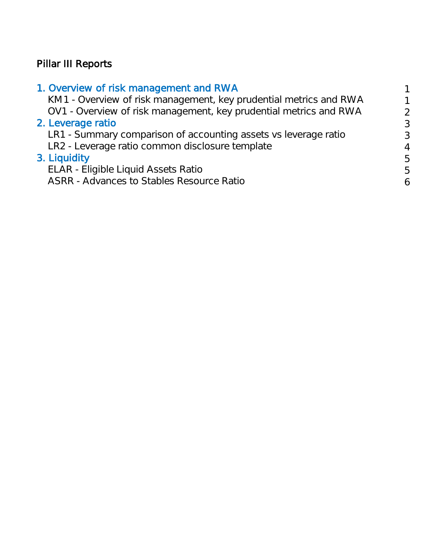# Pillar III Reports

### 1. Overview of risk management and RWA 1

KM1 - Overview of risk management, key prudential metrics and RWA 1 OV1 - Overview of risk management, key prudential metrics and RWA 2 2. Leverage ratio 3

LR1 - Summary comparison of accounting assets vs leverage ratio 3 LR2 - Leverage ratio common disclosure template 4 and 4

### 3. Liquidity 5

ELAR - Eligible Liquid Assets Ratio 5

ASRR - Advances to Stables Resource Ratio 6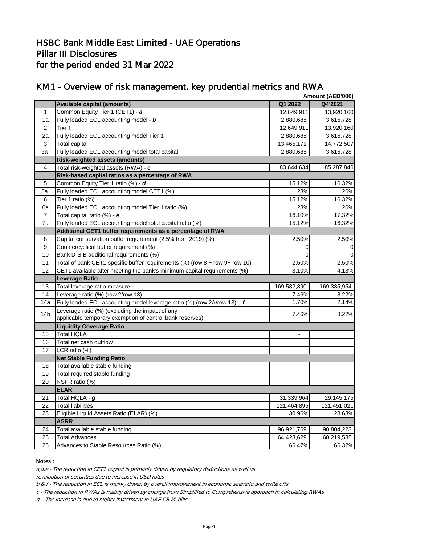|                  |                                                                                     |             | Amount (AED'000) |
|------------------|-------------------------------------------------------------------------------------|-------------|------------------|
|                  | <b>Available capital (amounts)</b>                                                  | Q1'2022     | Q4'2021          |
| 1                | Common Equity Tier 1 (CET1) - a                                                     | 12,649,911  | 13,920,160       |
| 1a               | Fully loaded ECL accounting model - b                                               | 2,880,685   | 3,616,728        |
| 2                | Tier 1                                                                              | 12,649,911  | 13,920,160       |
| 2a               | Fully loaded ECL accounting model Tier 1                                            | 2,880,685   | 3,616,728        |
| 3                | Total capital                                                                       | 13,465,171  | 14,772,507       |
| 3a               | Fully loaded ECL accounting model total capital                                     | 2,880,685   | 3,616,728        |
|                  | <b>Risk-weighted assets (amounts)</b>                                               |             |                  |
| $\overline{4}$   | Total risk-weighted assets (RWA) - c                                                | 83,644,634  | 85,287,846       |
|                  | Risk-based capital ratios as a percentage of RWA                                    |             |                  |
| 5                | Common Equity Tier 1 ratio (%) - d                                                  | 15.12%      | 16.32%           |
| 5a               | Fully loaded ECL accounting model CET1 (%)                                          | 23%         | 26%              |
| 6                | Tier 1 ratio (%)                                                                    | 15.12%      | 16.32%           |
| 6a               | Fully loaded ECL accounting model Tier 1 ratio (%)                                  | 23%         | 26%              |
| $\overline{7}$   | Total capital ratio (%) - e                                                         | 16.10%      | 17.32%           |
| 7a               | Fully loaded ECL accounting model total capital ratio (%)                           | 15.12%      | 16.32%           |
|                  | Additional CET1 buffer requirements as a percentage of RWA                          |             |                  |
| 8                | Capital conservation buffer requirement (2.5% from 2019) (%)                        | 2.50%       | 2.50%            |
| $\boldsymbol{9}$ | Countercyclical buffer requirement (%)                                              | 0           |                  |
| 10               | Bank D-SIB additional requirements (%)                                              | $\Omega$    | 0                |
| 11               | Total of bank CET1 specific buffer requirements $(\%)$ (row $8 +$ row $9 +$ row 10) | 2.50%       | 2.50%            |
| 12               | CET1 available after meeting the bank's minimum capital requirements (%)            | 3.10%       | 4.13%            |
|                  | <b>Leverage Ratio</b>                                                               |             |                  |
| 13               | Total leverage ratio measure                                                        | 169,532,390 | 169,335,954      |
| 14               | Leverage ratio (%) (row 2/row 13)                                                   | 7.46%       | 8.22%            |
| 14a              | Fully loaded ECL accounting model leverage ratio (%) (row 2A/row 13) - f            | 1.70%       | 2.14%            |
| 14 <sub>b</sub>  | Leverage ratio (%) (excluding the impact of any                                     | 7.46%       | 8.22%            |
|                  | applicable temporary exemption of central bank reserves)                            |             |                  |
|                  | <b>Liquidity Coverage Ratio</b>                                                     |             |                  |
| 15               | Total HQLA                                                                          |             |                  |
| 16               | Total net cash outflow                                                              |             |                  |
| 17               | LCR ratio (%)                                                                       |             |                  |
|                  | <b>Net Stable Funding Ratio</b>                                                     |             |                  |
| 18               | Total available stable funding                                                      |             |                  |
| 19               | Total required stable funding                                                       |             |                  |
| 20               | NSFR ratio (%)                                                                      |             |                  |
|                  | <b>ELAR</b>                                                                         |             |                  |
| 21               | Total HQLA - g                                                                      | 31,339,964  | 29,145,175       |
| 22               | <b>Total liabilities</b>                                                            | 121,464,895 | 121,451,021      |
| 23               | Eligible Liquid Assets Ratio (ELAR) (%)                                             | 30.96%      | 28.63%           |
|                  | <b>ASRR</b>                                                                         |             |                  |
| 24               | Total available stable funding                                                      | 96,921,769  | 90,804,223       |
| 25               | <b>Total Advances</b>                                                               | 64,423,629  | 60,219,535       |
| 26               | Advances to Stable Resources Ratio (%)                                              | 66.47%      | 66.32%           |

### KM1 - Overview of risk management, key prudential metrics and RWA

#### Notes :

a,d,e - The reduction in CET1 capital is primarily driven by regulatory deductions as well as

revaluation of securities due to increase in USD rates

b & f - The reduction in ECL is mainly driven by overall improvement in economic scenario and write offs

c - The reduction in RWAs is mainly driven by change from Simplified to Comprehensive approach in calculating RWAs

g - The increase is due to higher investment in UAE CB M-bills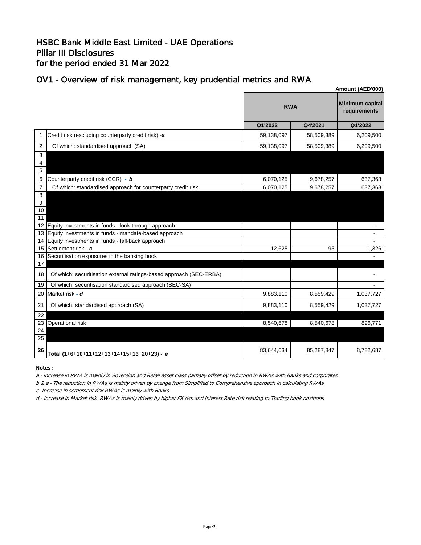### HSBC Bank Middle East Limited - UAE Operations Pillar III Disclosures for the period ended 31 Mar 2022

### OV1 - Overview of risk management, key prudential metrics and RWA

|                    | Amount (AED'000)                                                    |            |            |                                 |
|--------------------|---------------------------------------------------------------------|------------|------------|---------------------------------|
|                    |                                                                     | <b>RWA</b> |            | Minimum capital<br>requirements |
|                    |                                                                     | Q1'2022    | Q4'2021    | Q1'2022                         |
| 1                  | Credit risk (excluding counterparty credit risk) -a                 | 59,138,097 | 58,509,389 | 6,209,500                       |
| $\overline{2}$     | Of which: standardised approach (SA)                                | 59,138,097 | 58,509,389 | 6,209,500                       |
| 3<br>4<br>5        |                                                                     |            |            |                                 |
| 6                  | Counterparty credit risk (CCR) - b                                  | 6,070,125  | 9,678,257  | 637,363                         |
| $\overline{7}$     | Of which: standardised approach for counterparty credit risk        | 6,070,125  | 9,678,257  | 637,363                         |
| 8<br>9<br>10<br>11 |                                                                     |            |            |                                 |
| 12                 | Equity investments in funds - look-through approach                 |            |            |                                 |
| 13                 | Equity investments in funds - mandate-based approach                |            |            |                                 |
| 14                 | Equity investments in funds - fall-back approach                    |            |            |                                 |
| 15                 | Settlement risk - c                                                 | 12,625     | 95         | 1,326                           |
| 16                 | Securitisation exposures in the banking book                        |            |            |                                 |
| 17<br>18           | Of which: securitisation external ratings-based approach (SEC-ERBA) |            |            |                                 |
|                    |                                                                     |            |            |                                 |
| 19                 | Of which: securitisation standardised approach (SEC-SA)             |            |            |                                 |
| 20                 | Market risk - d                                                     | 9,883,110  | 8,559,429  | 1,037,727                       |
| 21                 | Of which: standardised approach (SA)                                | 9,883,110  | 8,559,429  | 1,037,727                       |
| 22                 |                                                                     |            |            |                                 |
| 23                 | Operational risk                                                    | 8,540,678  | 8,540,678  | 896,771                         |
| 24<br>25           |                                                                     |            |            |                                 |
| 26                 | Total (1+6+10+11+12+13+14+15+16+20+23) - e                          | 83,644,634 | 85,287,847 | 8,782,687                       |

### Notes :

a - Increase in RWA is mainly in Sovereign and Retail asset class partially offset by reduction in RWAs with Banks and corporates

b & e - The reduction in RWAs is mainly driven by change from Simplified to Comprehensive approach in calculating RWAs

c- Increase in settlement risk RWAs is mainly with Banks

d - Increase in Market risk RWAs is mainly driven by higher FX risk and Interest Rate risk relating to Trading book positions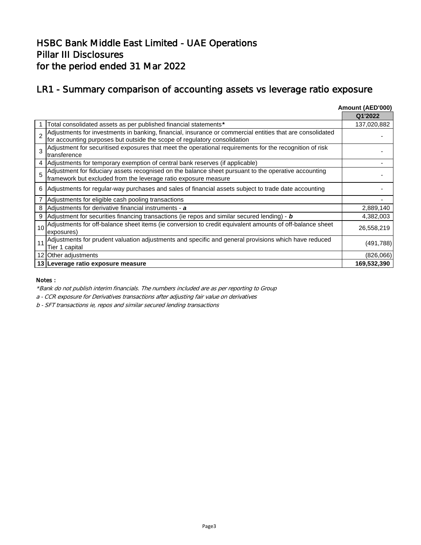### LR1 - Summary comparison of accounting assets vs leverage ratio exposure

|                 |                                                                                                                                                                                        | Amount (AED'000) |
|-----------------|----------------------------------------------------------------------------------------------------------------------------------------------------------------------------------------|------------------|
|                 |                                                                                                                                                                                        | Q1'2022          |
|                 | Total consolidated assets as per published financial statements*                                                                                                                       | 137,020,882      |
|                 | Adjustments for investments in banking, financial, insurance or commercial entities that are consolidated<br>for accounting purposes but outside the scope of regulatory consolidation |                  |
|                 | Adjustment for securitised exposures that meet the operational requirements for the recognition of risk<br>transference                                                                |                  |
|                 | Adjustments for temporary exemption of central bank reserves (if applicable)                                                                                                           |                  |
| 5               | Adjustment for fiduciary assets recognised on the balance sheet pursuant to the operative accounting<br>framework but excluded from the leverage ratio exposure measure                |                  |
| 6               | Adjustments for regular-way purchases and sales of financial assets subject to trade date accounting                                                                                   |                  |
| 7               | Adjustments for eligible cash pooling transactions                                                                                                                                     |                  |
| 8               | Adjustments for derivative financial instruments - a                                                                                                                                   | 2,889,140        |
| 9               | Adjustment for securities financing transactions (ie repos and similar secured lending) - $\bm{b}$                                                                                     | 4,382,003        |
| 10              | Adjustments for off-balance sheet items (ie conversion to credit equivalent amounts of off-balance sheet<br>exposures)                                                                 | 26,558,219       |
| 11              | Adjustments for prudent valuation adjustments and specific and general provisions which have reduced<br>Tier 1 capital                                                                 | (491, 788)       |
| 12 <sub>1</sub> | Other adjustments                                                                                                                                                                      | (826,066)        |
|                 | 13 Leverage ratio exposure measure                                                                                                                                                     | 169,532,390      |

#### Notes :

\*Bank do not publish interim financials. The numbers included are as per reporting to Group

a - CCR exposure for Derivatives transactions after adjusting fair value on derivatives

b - SFT transactions ie, repos and similar secured lending transactions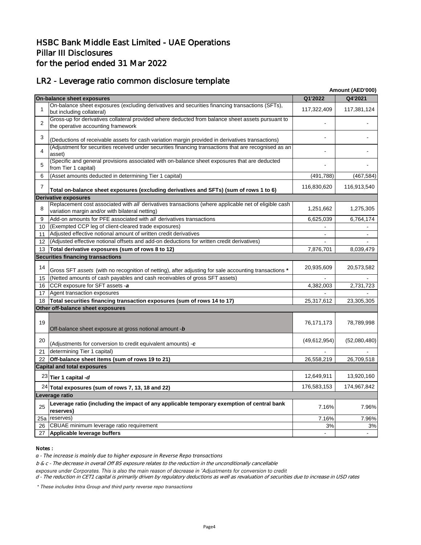## LR2 - Leverage ratio common disclosure template

|                |                                                                                                                                                         |                | Amount (AED'000) |
|----------------|---------------------------------------------------------------------------------------------------------------------------------------------------------|----------------|------------------|
|                | On-balance sheet exposures                                                                                                                              | Q1'2022        | Q4'2021          |
|                | On-balance sheet exposures (excluding derivatives and securities financing transactions (SFTs),<br>but including collateral)                            | 117,322,409    | 117,381,124      |
| $\overline{2}$ | Gross-up for derivatives collateral provided where deducted from balance sheet assets pursuant to<br>the operative accounting framework                 |                |                  |
| 3              | (Deductions of receivable assets for cash variation margin provided in derivatives transactions)                                                        |                |                  |
| 4              | (Adjustment for securities received under securities financing transactions that are recognised as an<br>asset)                                         |                |                  |
| 5              | (Specific and general provisions associated with on-balance sheet exposures that are deducted<br>from Tier 1 capital)                                   |                |                  |
| 6              | (Asset amounts deducted in determining Tier 1 capital)                                                                                                  | (491, 788)     | (467, 584)       |
| 7              | Total on-balance sheet exposures (excluding derivatives and SFTs) (sum of rows 1 to 6)                                                                  | 116,830,620    | 116,913,540      |
|                | <b>Derivative exposures</b>                                                                                                                             |                |                  |
| 8              | Replacement cost associated with all derivatives transactions (where applicable net of eligible cash<br>variation margin and/or with bilateral netting) | 1,251,662      | 1,275,305        |
| 9              | Add-on amounts for PFE associated with all derivatives transactions                                                                                     | 6,625,039      | 6,764,174        |
| 10             | (Exempted CCP leg of client-cleared trade exposures)                                                                                                    |                |                  |
| 11             | Adjusted effective notional amount of written credit derivatives                                                                                        |                |                  |
| 12             | (Adjusted effective notional offsets and add-on deductions for written credit derivatives)                                                              |                |                  |
| 13             | Total derivative exposures (sum of rows 8 to 12)                                                                                                        | 7,876,701      | 8,039,479        |
|                | <b>Securities financing transactions</b>                                                                                                                |                |                  |
| 14             | Gross SFT assets (with no recognition of netting), after adjusting for sale accounting transactions *                                                   | 20,935,609     | 20,573,582       |
| 15             | (Netted amounts of cash payables and cash receivables of gross SFT assets)                                                                              |                |                  |
| 16             | CCR exposure for SFT assets -a                                                                                                                          | 4,382,003      | 2,731,723        |
| 17             | Agent transaction exposures                                                                                                                             |                |                  |
| 18             | Total securities financing transaction exposures (sum of rows 14 to 17)                                                                                 | 25,317,612     | 23,305,305       |
|                | Other off-balance sheet exposures                                                                                                                       |                |                  |
| 19             | Off-balance sheet exposure at gross notional amount -b                                                                                                  | 76,171,173     | 78,789,998       |
| 20             | (Adjustments for conversion to credit equivalent amounts) -c                                                                                            | (49, 612, 954) | (52,080,480)     |
| 21             | determining Tier 1 capital)                                                                                                                             |                |                  |
| 22             | Off-balance sheet items (sum of rows 19 to 21)                                                                                                          | 26,558,219     | 26,709,518       |
|                | <b>Capital and total exposures</b>                                                                                                                      |                |                  |
|                | $23$ Tier 1 capital -d                                                                                                                                  | 12,649,911     | 13,920,160       |
|                | $24$ Total exposures (sum of rows 7, 13, 18 and 22)                                                                                                     | 176,583,153    | 174,967,842      |
|                | Leverage ratio                                                                                                                                          |                |                  |
| 25             | Leverage ratio (including the impact of any applicable temporary exemption of central bank<br>reserves)                                                 | 7.16%          | 7.96%            |
|                | 25a   reserves)                                                                                                                                         | 7.16%          | 7.96%            |
| 26             | CBUAE minimum leverage ratio requirement                                                                                                                | 3%             | 3%               |
| 27             | Applicable leverage buffers                                                                                                                             |                |                  |

#### Notes :

*a - The increase is mainly due to higher exposure in Reverse Repo transactions*

b & c - The decrease in overall Off BS exposure relates to the reduction in the unconditionally cancellable

exposure under Corporates. This is also the main reason of decrease in 'Adjustments for conversion to credit

d - The reduction in CET1 capital is primarily driven by regulatory deductions as well as revaluation of securities due to increase in USD rates

*\** These includes Intra Group and third party reverse repo transactions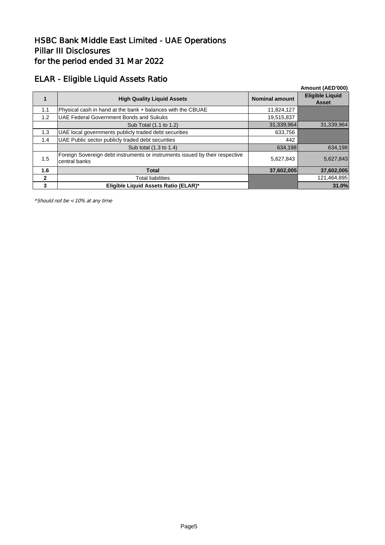### ELAR - Eligible Liquid Assets Ratio

|              |                                                                                               |                       | Amount (AED'000)                       |
|--------------|-----------------------------------------------------------------------------------------------|-----------------------|----------------------------------------|
|              | <b>High Quality Liquid Assets</b>                                                             | <b>Nominal amount</b> | <b>Eligible Liquid</b><br><b>Asset</b> |
| 1.1          | Physical cash in hand at the bank + balances with the CBUAE                                   | 11,824,127            |                                        |
| 1.2          | <b>UAE Federal Government Bonds and Sukuks</b>                                                | 19,515,837            |                                        |
|              | Sub Total (1.1 to 1.2)                                                                        | 31,339,964            | 31,339,964                             |
| 1.3          | UAE local governments publicly traded debt securities                                         | 633,756               |                                        |
| 1.4          | UAE Public sector publicly traded debt securities                                             | 442                   |                                        |
|              | Sub total (1.3 to 1.4)                                                                        | 634,198               | 634,198                                |
| 1.5          | Foreign Sovereign debt instruments or instruments issued by their respective<br>central banks | 5,627,843             | 5,627,843                              |
| 1.6          | <b>Total</b>                                                                                  | 37,602,005            | 37,602,005                             |
| $\mathbf{2}$ | <b>Total liabilities</b>                                                                      |                       | 121,464,895                            |
| 3            | Eligible Liguid Assets Ratio (ELAR)*                                                          |                       | 31.0%                                  |

\*Should not be < 10% at any time